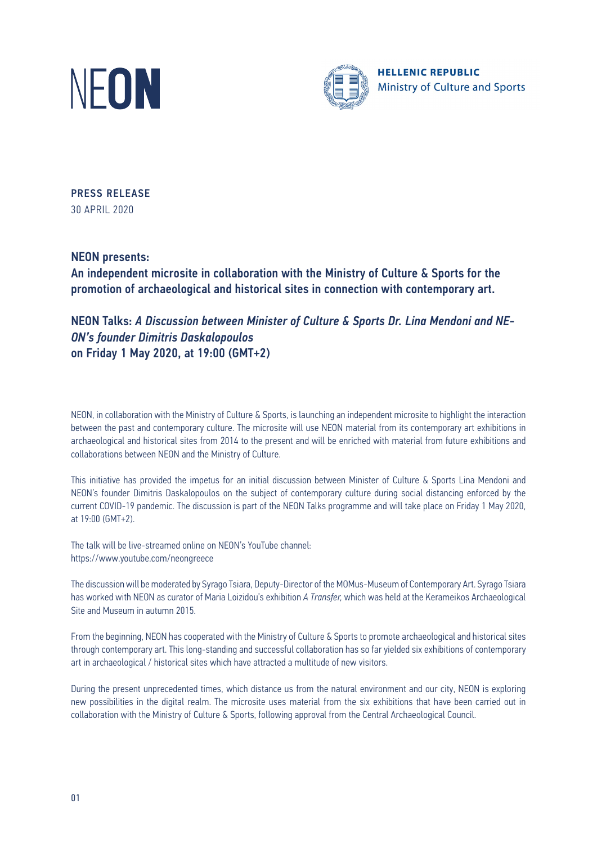



PRESS RELEASE 30 APRIL 2020

ΝΕΟΝ presents:

An independent microsite in collaboration with the Ministry of Culture & Sports for the promotion of archaeological and historical sites in connection with contemporary art.

NEON Talks: *A Discussion between Minister of Culture & Sports Dr. Lina Mendoni and NE-ON's founder Dimitris Daskalopoulos* on Friday 1 May 2020, at 19:00 (GMT+2)

NEON, in collaboration with the Ministry of Culture & Sports, is launching an independent microsite to highlight the interaction between the past and contemporary culture. The microsite will use NEON material from its contemporary art exhibitions in archaeological and historical sites from 2014 to the present and will be enriched with material from future exhibitions and collaborations between NEON and the Ministry of Culture.

This initiative has provided the impetus for an initial discussion between Minister of Culture & Sports Lina Mendoni and NEON's founder Dimitris Daskalopoulos on the subject of contemporary culture during social distancing enforced by the current COVID-19 pandemic. The discussion is part of the NEON Talks programme and will take place on Friday 1 May 2020, at 19:00 (GMT+2).

The talk will be live-streamed online on NEON's YouTube channel: https://www.youtube.com/neongreece

The discussion will be moderated by Syrago Tsiara, Deputy-Director of the MOMus-Museum of Contemporary Art. Syrago Tsiara has worked with NEON as curator of Maria Loizidou's exhibition *A Transfer,* which was held at the Kerameikos Archaeological Site and Museum in autumn 2015.

From the beginning, NEON has cooperated with the Ministry of Culture & Sports to promote archaeological and historical sites through contemporary art. This long-standing and successful collaboration has so far yielded six exhibitions of contemporary art in archaeological / historical sites which have attracted a multitude of new visitors.

During the present unprecedented times, which distance us from the natural environment and our city, NEON is exploring new possibilities in the digital realm. The microsite uses material from the six exhibitions that have been carried out in collaboration with the Ministry of Culture & Sports, following approval from the Central Archaeological Council.